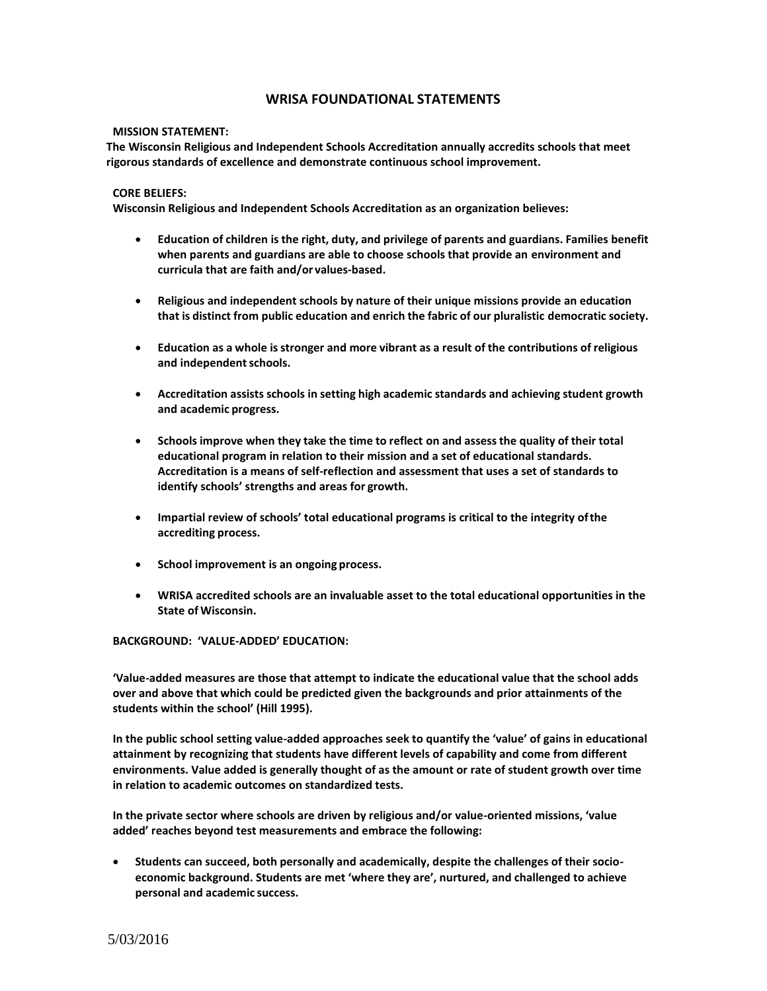## **WRISA FOUNDATIONAL STATEMENTS**

## **MISSION STATEMENT:**

**The Wisconsin Religious and Independent Schools Accreditation annually accredits schools that meet rigorous standards of excellence and demonstrate continuous school improvement.**

## **CORE BELIEFS:**

**Wisconsin Religious and Independent Schools Accreditation as an organization believes:**

- **Education of children is the right, duty, and privilege of parents and guardians. Families benefit when parents and guardians are able to choose schools that provide an environment and curricula that are faith and/or values-based.**
- **Religious and independent schools by nature of their unique missions provide an education that is distinct from public education and enrich the fabric of our pluralistic democratic society.**
- **Education as a whole is stronger and more vibrant as a result of the contributions of religious and independentschools.**
- **Accreditation assists schools in setting high academic standards and achieving student growth and academic progress.**
- **Schools improve when they take the time to reflect on and assess the quality of their total educational program in relation to their mission and a set of educational standards. Accreditation is a means of self-reflection and assessment that uses a set of standards to identify schools' strengths and areas for growth.**
- **Impartial review of schools' total educational programs is critical to the integrity ofthe accrediting process.**
- **School improvement is an ongoing process.**
- **WRISA accredited schools are an invaluable asset to the total educational opportunities in the State of Wisconsin.**

**BACKGROUND: 'VALUE-ADDED' EDUCATION:**

**'Value-added measures are those that attempt to indicate the educational value that the school adds over and above that which could be predicted given the backgrounds and prior attainments of the students within the school' (Hill 1995).**

**In the public school setting value-added approaches seek to quantify the 'value' of gains in educational attainment by recognizing that students have different levels of capability and come from different environments. Value added is generally thought of as the amount or rate of student growth over time in relation to academic outcomes on standardized tests.**

**In the private sector where schools are driven by religious and/or value-oriented missions, 'value added' reaches beyond test measurements and embrace the following:**

• **Students can succeed, both personally and academically, despite the challenges of their socioeconomic background. Students are met 'where they are', nurtured, and challenged to achieve personal and academic success.**